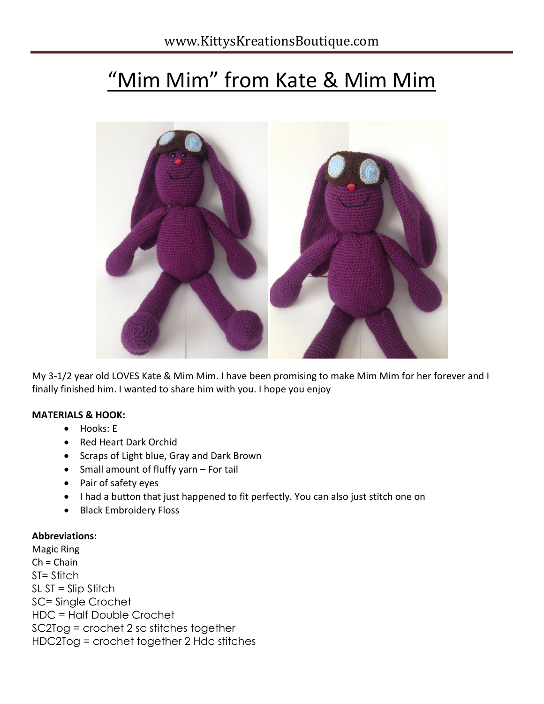# "Mim Mim" from Kate & Mim Mim



My 3-1/2 year old LOVES Kate & Mim Mim. I have been promising to make Mim Mim for her forever and I finally finished him. I wanted to share him with you. I hope you enjoy

#### **MATERIALS & HOOK:**

- Hooks: E
- Red Heart Dark Orchid
- Scraps of Light blue, Gray and Dark Brown
- Small amount of fluffy yarn For tail
- Pair of safety eyes
- I had a button that just happened to fit perfectly. You can also just stitch one on
- Black Embroidery Floss

#### **Abbreviations:**

Magic Ring  $Ch = Chain$ ST= Stitch SL ST = Slip Stitch SC= Single Crochet HDC = Half Double Crochet SC2Tog = crochet 2 sc stitches together HDC2Tog = crochet together 2 Hdc stitches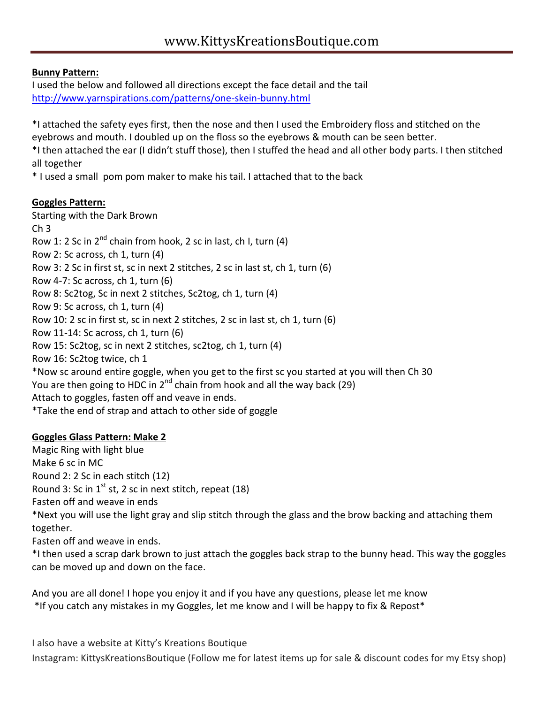### **Bunny Pattern:**

I used the below and followed all directions except the face detail and the tail <http://www.yarnspirations.com/patterns/one-skein-bunny.html>

\*I attached the safety eyes first, then the nose and then I used the Embroidery floss and stitched on the eyebrows and mouth. I doubled up on the floss so the eyebrows & mouth can be seen better.

\*I then attached the ear (I didn't stuff those), then I stuffed the head and all other body parts. I then stitched all together

\* I used a small pom pom maker to make his tail. I attached that to the back

## **Goggles Pattern:**

Starting with the Dark Brown Ch 3 Row 1: 2 Sc in  $2^{nd}$  chain from hook, 2 sc in last, ch I, turn (4) Row 2: Sc across, ch 1, turn (4) Row 3: 2 Sc in first st, sc in next 2 stitches, 2 sc in last st, ch 1, turn (6) Row 4-7: Sc across, ch 1, turn (6) Row 8: Sc2tog, Sc in next 2 stitches, Sc2tog, ch 1, turn (4) Row 9: Sc across, ch 1, turn (4) Row 10: 2 sc in first st, sc in next 2 stitches, 2 sc in last st, ch 1, turn (6) Row 11-14: Sc across, ch 1, turn (6) Row 15: Sc2tog, sc in next 2 stitches, sc2tog, ch 1, turn (4) Row 16: Sc2tog twice, ch 1 \*Now sc around entire goggle, when you get to the first sc you started at you will then Ch 30 You are then going to HDC in  $2^{nd}$  chain from hook and all the way back (29) Attach to goggles, fasten off and veave in ends. \*Take the end of strap and attach to other side of goggle

## **Goggles Glass Pattern: Make 2**

can be moved up and down on the face.

Magic Ring with light blue Make 6 sc in MC Round 2: 2 Sc in each stitch (12) Round 3: Sc in  $1^{st}$  st, 2 sc in next stitch, repeat (18) Fasten off and weave in ends \*Next you will use the light gray and slip stitch through the glass and the brow backing and attaching them together. Fasten off and weave in ends. \*I then used a scrap dark brown to just attach the goggles back strap to the bunny head. This way the goggles

And you are all done! I hope you enjoy it and if you have any questions, please let me know \*If you catch any mistakes in my Goggles, let me know and I will be happy to fix & Repost\*

I also have a website at Kitty's Kreations Boutique Instagram: KittysKreationsBoutique (Follow me for latest items up for sale & discount codes for my Etsy shop)